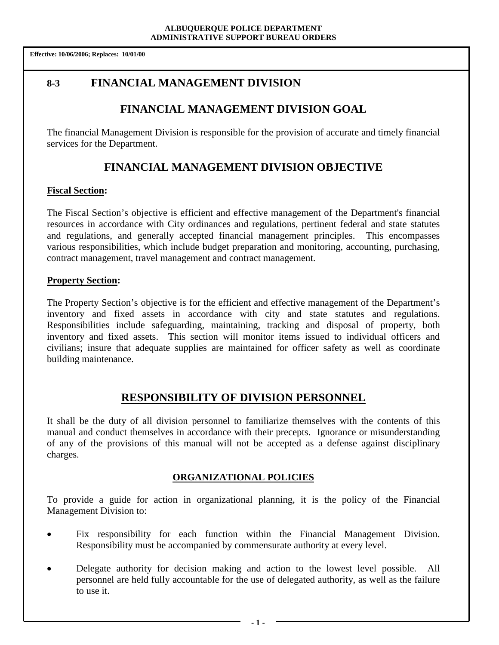# **8-3 FINANCIAL MANAGEMENT DIVISION**

# **FINANCIAL MANAGEMENT DIVISION GOAL**

The financial Management Division is responsible for the provision of accurate and timely financial services for the Department.

# **FINANCIAL MANAGEMENT DIVISION OBJECTIVE**

### **Fiscal Section:**

The Fiscal Section's objective is efficient and effective management of the Department's financial resources in accordance with City ordinances and regulations, pertinent federal and state statutes and regulations, and generally accepted financial management principles. This encompasses various responsibilities, which include budget preparation and monitoring, accounting, purchasing, contract management, travel management and contract management.

## **Property Section:**

The Property Section's objective is for the efficient and effective management of the Department's inventory and fixed assets in accordance with city and state statutes and regulations. Responsibilities include safeguarding, maintaining, tracking and disposal of property, both inventory and fixed assets. This section will monitor items issued to individual officers and civilians; insure that adequate supplies are maintained for officer safety as well as coordinate building maintenance.

# **RESPONSIBILITY OF DIVISION PERSONNEL**

It shall be the duty of all division personnel to familiarize themselves with the contents of this manual and conduct themselves in accordance with their precepts. Ignorance or misunderstanding of any of the provisions of this manual will not be accepted as a defense against disciplinary charges.

## **ORGANIZATIONAL POLICIES**

To provide a guide for action in organizational planning, it is the policy of the Financial Management Division to:

- Fix responsibility for each function within the Financial Management Division. Responsibility must be accompanied by commensurate authority at every level.
- Delegate authority for decision making and action to the lowest level possible. All personnel are held fully accountable for the use of delegated authority, as well as the failure to use it.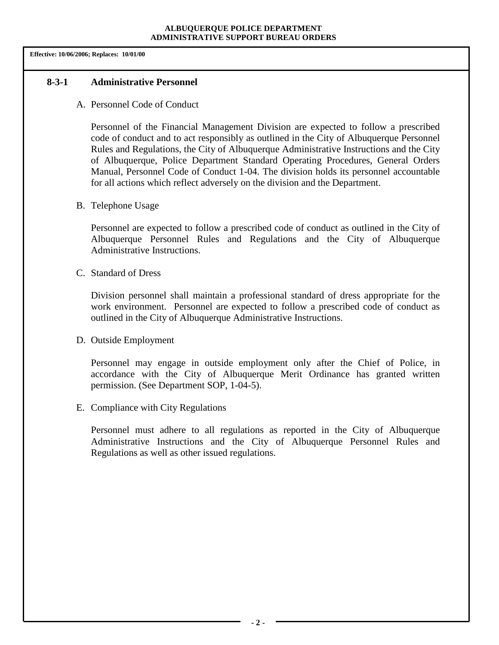**Effective: 10/06/2006; Replaces: 10/01/00**

#### **8-3-1 Administrative Personnel**

A. Personnel Code of Conduct

Personnel of the Financial Management Division are expected to follow a prescribed code of conduct and to act responsibly as outlined in the City of Albuquerque Personnel Rules and Regulations, the City of Albuquerque Administrative Instructions and the City of Albuquerque, Police Department Standard Operating Procedures, General Orders Manual, Personnel Code of Conduct 1-04. The division holds its personnel accountable for all actions which reflect adversely on the division and the Department.

B. Telephone Usage

Personnel are expected to follow a prescribed code of conduct as outlined in the City of Albuquerque Personnel Rules and Regulations and the City of Albuquerque Administrative Instructions.

C. Standard of Dress

Division personnel shall maintain a professional standard of dress appropriate for the work environment. Personnel are expected to follow a prescribed code of conduct as outlined in the City of Albuquerque Administrative Instructions.

D. Outside Employment

Personnel may engage in outside employment only after the Chief of Police, in accordance with the City of Albuquerque Merit Ordinance has granted written permission. (See Department SOP, 1-04-5).

E. Compliance with City Regulations

Personnel must adhere to all regulations as reported in the City of Albuquerque Administrative Instructions and the City of Albuquerque Personnel Rules and Regulations as well as other issued regulations.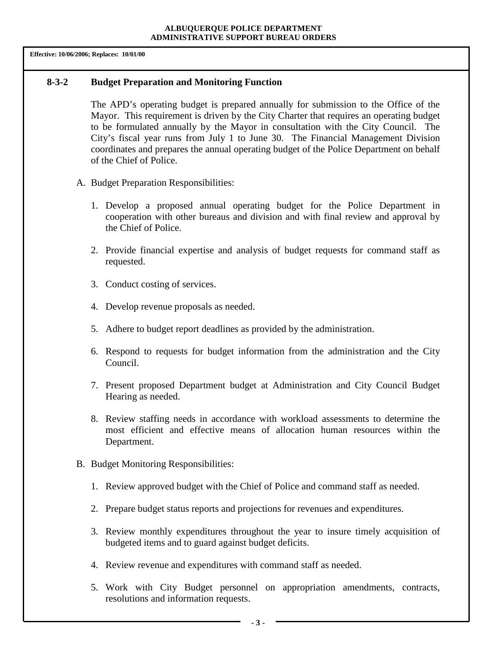#### **8-3-2 Budget Preparation and Monitoring Function**

The APD's operating budget is prepared annually for submission to the Office of the Mayor. This requirement is driven by the City Charter that requires an operating budget to be formulated annually by the Mayor in consultation with the City Council. The City's fiscal year runs from July 1 to June 30. The Financial Management Division coordinates and prepares the annual operating budget of the Police Department on behalf of the Chief of Police.

- A. Budget Preparation Responsibilities:
	- 1. Develop a proposed annual operating budget for the Police Department in cooperation with other bureaus and division and with final review and approval by the Chief of Police.
	- 2. Provide financial expertise and analysis of budget requests for command staff as requested.
	- 3. Conduct costing of services.
	- 4. Develop revenue proposals as needed.
	- 5. Adhere to budget report deadlines as provided by the administration.
	- 6. Respond to requests for budget information from the administration and the City Council.
	- 7. Present proposed Department budget at Administration and City Council Budget Hearing as needed.
	- 8. Review staffing needs in accordance with workload assessments to determine the most efficient and effective means of allocation human resources within the Department.
- B. Budget Monitoring Responsibilities:
	- 1. Review approved budget with the Chief of Police and command staff as needed.
	- 2. Prepare budget status reports and projections for revenues and expenditures.
	- 3. Review monthly expenditures throughout the year to insure timely acquisition of budgeted items and to guard against budget deficits.
	- 4. Review revenue and expenditures with command staff as needed.
	- 5. Work with City Budget personnel on appropriation amendments, contracts, resolutions and information requests.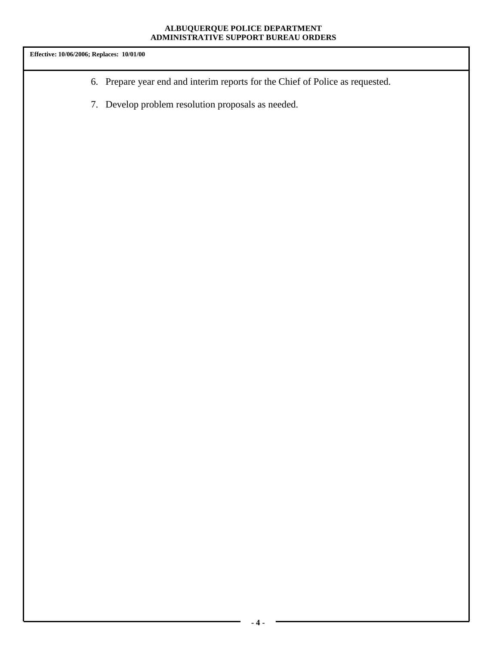- 6. Prepare year end and interim reports for the Chief of Police as requested.
- 7. Develop problem resolution proposals as needed.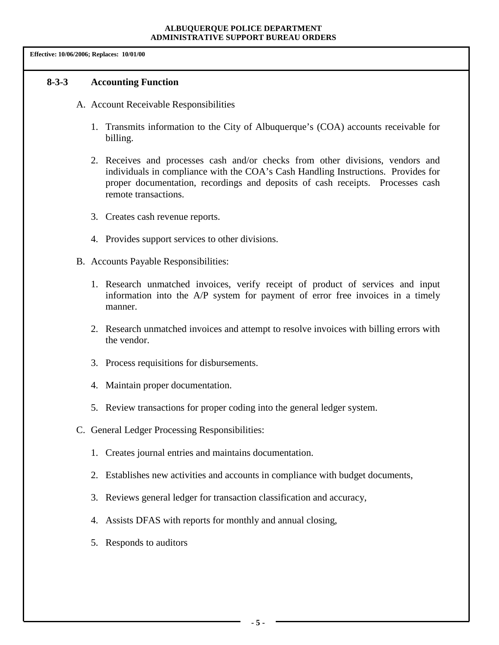### **8-3-3 Accounting Function**

- A. Account Receivable Responsibilities
	- 1. Transmits information to the City of Albuquerque's (COA) accounts receivable for billing.
	- 2. Receives and processes cash and/or checks from other divisions, vendors and individuals in compliance with the COA's Cash Handling Instructions. Provides for proper documentation, recordings and deposits of cash receipts. Processes cash remote transactions.
	- 3. Creates cash revenue reports.
	- 4. Provides support services to other divisions.
- B. Accounts Payable Responsibilities:
	- 1. Research unmatched invoices, verify receipt of product of services and input information into the A/P system for payment of error free invoices in a timely manner.
	- 2. Research unmatched invoices and attempt to resolve invoices with billing errors with the vendor.
	- 3. Process requisitions for disbursements.
	- 4. Maintain proper documentation.
	- 5. Review transactions for proper coding into the general ledger system.
- C. General Ledger Processing Responsibilities:
	- 1. Creates journal entries and maintains documentation.
	- 2. Establishes new activities and accounts in compliance with budget documents,
	- 3. Reviews general ledger for transaction classification and accuracy,
	- 4. Assists DFAS with reports for monthly and annual closing,
	- 5. Responds to auditors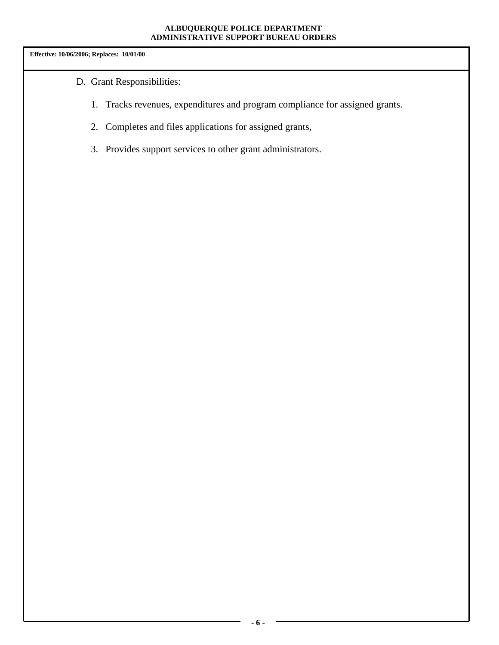- D. Grant Responsibilities:
	- 1. Tracks revenues, expenditures and program compliance for assigned grants.
	- 2. Completes and files applications for assigned grants,
	- 3. Provides support services to other grant administrators.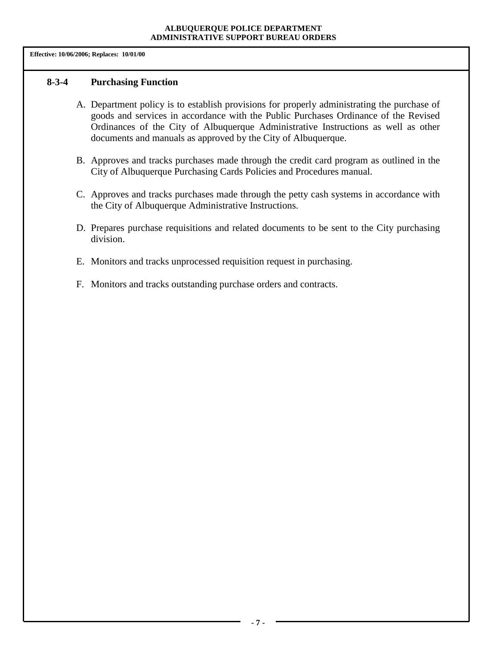**Effective: 10/06/2006; Replaces: 10/01/00**

### **8-3-4 Purchasing Function**

- A. Department policy is to establish provisions for properly administrating the purchase of goods and services in accordance with the Public Purchases Ordinance of the Revised Ordinances of the City of Albuquerque Administrative Instructions as well as other documents and manuals as approved by the City of Albuquerque.
- B. Approves and tracks purchases made through the credit card program as outlined in the City of Albuquerque Purchasing Cards Policies and Procedures manual.
- C. Approves and tracks purchases made through the petty cash systems in accordance with the City of Albuquerque Administrative Instructions.
- D. Prepares purchase requisitions and related documents to be sent to the City purchasing division.
- E. Monitors and tracks unprocessed requisition request in purchasing.
- F. Monitors and tracks outstanding purchase orders and contracts.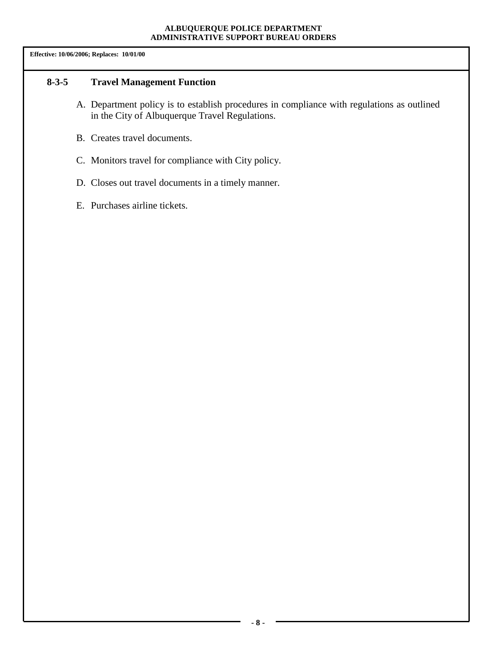## **8-3-5 Travel Management Function**

- A. Department policy is to establish procedures in compliance with regulations as outlined in the City of Albuquerque Travel Regulations.
- B. Creates travel documents.
- C. Monitors travel for compliance with City policy.
- D. Closes out travel documents in a timely manner.
- E. Purchases airline tickets.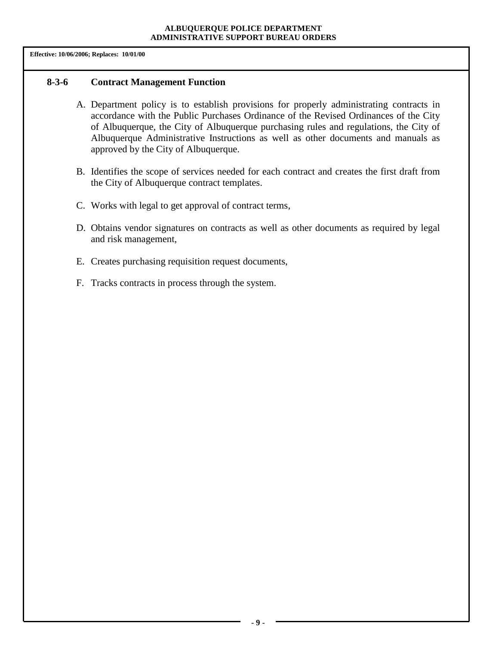#### **8-3-6 Contract Management Function**

- A. Department policy is to establish provisions for properly administrating contracts in accordance with the Public Purchases Ordinance of the Revised Ordinances of the City of Albuquerque, the City of Albuquerque purchasing rules and regulations, the City of Albuquerque Administrative Instructions as well as other documents and manuals as approved by the City of Albuquerque.
- B. Identifies the scope of services needed for each contract and creates the first draft from the City of Albuquerque contract templates.
- C. Works with legal to get approval of contract terms,
- D. Obtains vendor signatures on contracts as well as other documents as required by legal and risk management,
- E. Creates purchasing requisition request documents,
- F. Tracks contracts in process through the system.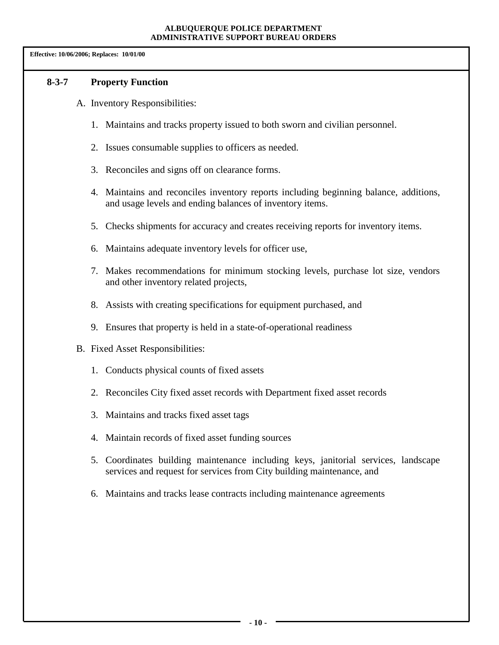**Effective: 10/06/2006; Replaces: 10/01/00**

### **8-3-7 Property Function**

- A. Inventory Responsibilities:
	- 1. Maintains and tracks property issued to both sworn and civilian personnel.
	- 2. Issues consumable supplies to officers as needed.
	- 3. Reconciles and signs off on clearance forms.
	- 4. Maintains and reconciles inventory reports including beginning balance, additions, and usage levels and ending balances of inventory items.
	- 5. Checks shipments for accuracy and creates receiving reports for inventory items.
	- 6. Maintains adequate inventory levels for officer use,
	- 7. Makes recommendations for minimum stocking levels, purchase lot size, vendors and other inventory related projects,
	- 8. Assists with creating specifications for equipment purchased, and
	- 9. Ensures that property is held in a state-of-operational readiness
- B. Fixed Asset Responsibilities:
	- 1. Conducts physical counts of fixed assets
	- 2. Reconciles City fixed asset records with Department fixed asset records
	- 3. Maintains and tracks fixed asset tags
	- 4. Maintain records of fixed asset funding sources
	- 5. Coordinates building maintenance including keys, janitorial services, landscape services and request for services from City building maintenance, and
	- 6. Maintains and tracks lease contracts including maintenance agreements